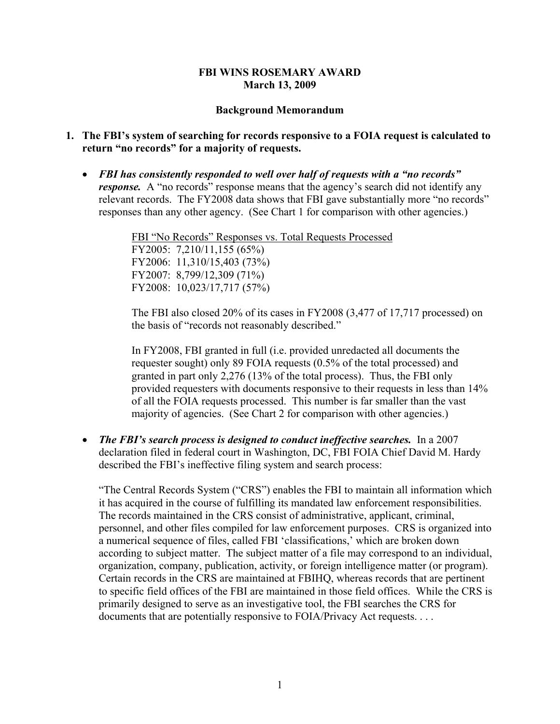### **FBI WINS ROSEMARY AWARD March 13, 2009**

#### **Background Memorandum**

#### **1. The FBI's system of searching for records responsive to a FOIA request is calculated to return "no records" for a majority of requests.**

• *FBI has consistently responded to well over half of requests with a "no records" response.* A "no records" response means that the agency's search did not identify any relevant records. The FY2008 data shows that FBI gave substantially more "no records" responses than any other agency. (See Chart 1 for comparison with other agencies.)

> FBI "No Records" Responses vs. Total Requests Processed FY2005: 7,210/11,155 (65%) FY2006: 11,310/15,403 (73%) FY2007: 8,799/12,309 (71%) FY2008: 10,023/17,717 (57%)

The FBI also closed 20% of its cases in FY2008 (3,477 of 17,717 processed) on the basis of "records not reasonably described."

In FY2008, FBI granted in full (i.e. provided unredacted all documents the requester sought) only 89 FOIA requests (0.5% of the total processed) and granted in part only 2,276 (13% of the total process). Thus, the FBI only provided requesters with documents responsive to their requests in less than 14% of all the FOIA requests processed. This number is far smaller than the vast majority of agencies. (See Chart 2 for comparison with other agencies.)

• *The FBI's search process is designed to conduct ineffective searches.* In a 2007 declaration filed in federal court in Washington, DC, FBI FOIA Chief David M. Hardy described the FBI's ineffective filing system and search process:

"The Central Records System ("CRS") enables the FBI to maintain all information which it has acquired in the course of fulfilling its mandated law enforcement responsibilities. The records maintained in the CRS consist of administrative, applicant, criminal, personnel, and other files compiled for law enforcement purposes. CRS is organized into a numerical sequence of files, called FBI 'classifications,' which are broken down according to subject matter. The subject matter of a file may correspond to an individual, organization, company, publication, activity, or foreign intelligence matter (or program). Certain records in the CRS are maintained at FBIHQ, whereas records that are pertinent to specific field offices of the FBI are maintained in those field offices. While the CRS is primarily designed to serve as an investigative tool, the FBI searches the CRS for documents that are potentially responsive to FOIA/Privacy Act requests. . . .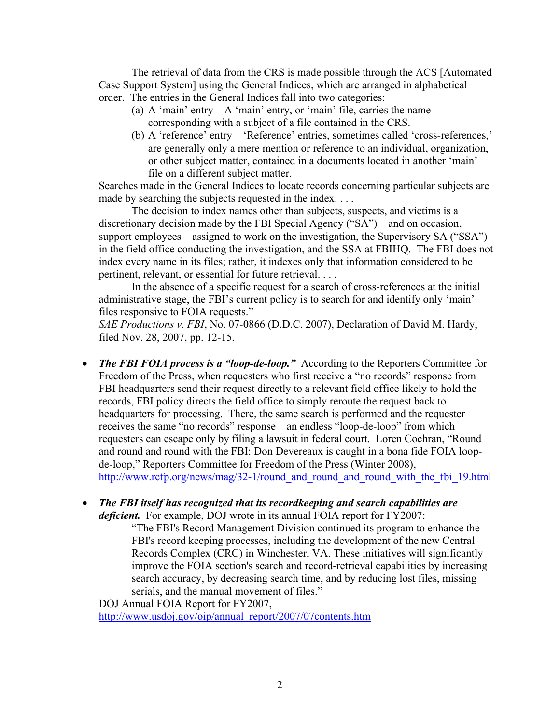The retrieval of data from the CRS is made possible through the ACS [Automated Case Support System] using the General Indices, which are arranged in alphabetical order. The entries in the General Indices fall into two categories:

- (a) A 'main' entry—A 'main' entry, or 'main' file, carries the name corresponding with a subject of a file contained in the CRS.
- (b) A 'reference' entry—'Reference' entries, sometimes called 'cross-references,' are generally only a mere mention or reference to an individual, organization, or other subject matter, contained in a documents located in another 'main' file on a different subject matter.

Searches made in the General Indices to locate records concerning particular subjects are made by searching the subjects requested in the index....

 The decision to index names other than subjects, suspects, and victims is a discretionary decision made by the FBI Special Agency ("SA")—and on occasion, support employees—assigned to work on the investigation, the Supervisory SA ("SSA") in the field office conducting the investigation, and the SSA at FBIHQ. The FBI does not index every name in its files; rather, it indexes only that information considered to be pertinent, relevant, or essential for future retrieval. . . .

 In the absence of a specific request for a search of cross-references at the initial administrative stage, the FBI's current policy is to search for and identify only 'main' files responsive to FOIA requests."

*SAE Productions v. FBI*, No. 07-0866 (D.D.C. 2007), Declaration of David M. Hardy, filed Nov. 28, 2007, pp. 12-15.

- *The FBI FOIA process is a "loop-de-loop.*" According to the Reporters Committee for Freedom of the Press, when requesters who first receive a "no records" response from FBI headquarters send their request directly to a relevant field office likely to hold the records, FBI policy directs the field office to simply reroute the request back to headquarters for processing. There, the same search is performed and the requester receives the same "no records" response—an endless "loop-de-loop" from which requesters can escape only by filing a lawsuit in federal court. Loren Cochran, "Round and round and round with the FBI: Don Devereaux is caught in a bona fide FOIA loopde-loop," Reporters Committee for Freedom of the Press (Winter 2008), http://www.rcfp.org/news/mag/32-1/round and round and round with the fbi 19.html
- *The FBI itself has recognized that its recordkeeping and search capabilities are deficient.* For example, DOJ wrote in its annual FOIA report for FY2007:

 "The FBI's Record Management Division continued its program to enhance the FBI's record keeping processes, including the development of the new Central Records Complex (CRC) in Winchester, VA. These initiatives will significantly improve the FOIA section's search and record-retrieval capabilities by increasing search accuracy, by decreasing search time, and by reducing lost files, missing serials, and the manual movement of files."

 DOJ Annual FOIA Report for FY2007, http://www.usdoj.gov/oip/annual\_report/2007/07contents.htm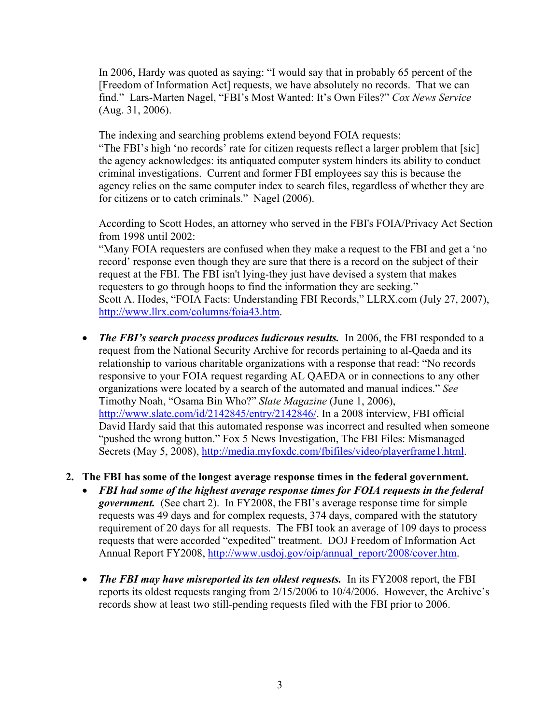In 2006, Hardy was quoted as saying: "I would say that in probably 65 percent of the [Freedom of Information Act] requests, we have absolutely no records. That we can find." Lars-Marten Nagel, "FBI's Most Wanted: It's Own Files?" *Cox News Service* (Aug. 31, 2006).

The indexing and searching problems extend beyond FOIA requests:

 "The FBI's high 'no records' rate for citizen requests reflect a larger problem that [sic] the agency acknowledges: its antiquated computer system hinders its ability to conduct criminal investigations. Current and former FBI employees say this is because the agency relies on the same computer index to search files, regardless of whether they are for citizens or to catch criminals." Nagel (2006).

 According to Scott Hodes, an attorney who served in the FBI's FOIA/Privacy Act Section from 1998 until 2002:

 "Many FOIA requesters are confused when they make a request to the FBI and get a 'no record' response even though they are sure that there is a record on the subject of their request at the FBI. The FBI isn't lying-they just have devised a system that makes requesters to go through hoops to find the information they are seeking." Scott A. Hodes, "FOIA Facts: Understanding FBI Records," LLRX.com (July 27, 2007), http://www.llrx.com/columns/foia43.htm.

• *The FBI's search process produces ludicrous results.* In 2006, the FBI responded to a request from the National Security Archive for records pertaining to al-Qaeda and its relationship to various charitable organizations with a response that read: "No records responsive to your FOIA request regarding AL QAEDA or in connections to any other organizations were located by a search of the automated and manual indices." *See*  Timothy Noah, "Osama Bin Who?" *Slate Magazine* (June 1, 2006), http://www.slate.com/id/2142845/entry/2142846/. In a 2008 interview, FBI official David Hardy said that this automated response was incorrect and resulted when someone "pushed the wrong button." Fox 5 News Investigation, The FBI Files: Mismanaged Secrets (May 5, 2008), http://media.myfoxdc.com/fbifiles/video/playerframe1.html.

# **2. The FBI has some of the longest average response times in the federal government.**

- *FBI had some of the highest average response times for FOIA requests in the federal government.* (See chart 2). In FY2008, the FBI's average response time for simple requests was 49 days and for complex requests, 374 days, compared with the statutory requirement of 20 days for all requests. The FBI took an average of 109 days to process requests that were accorded "expedited" treatment. DOJ Freedom of Information Act Annual Report FY2008, http://www.usdoj.gov/oip/annual\_report/2008/cover.htm.
- *The FBI may have misreported its ten oldest requests.* In its FY2008 report, the FBI reports its oldest requests ranging from 2/15/2006 to 10/4/2006. However, the Archive's records show at least two still-pending requests filed with the FBI prior to 2006.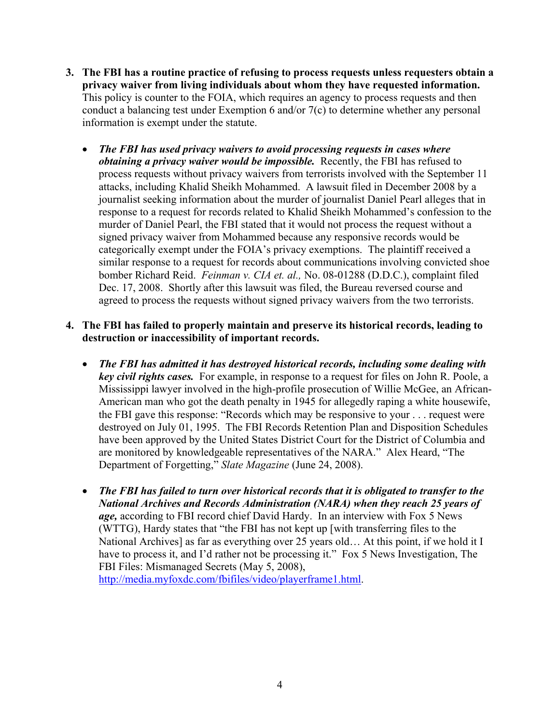- **3. The FBI has a routine practice of refusing to process requests unless requesters obtain a privacy waiver from living individuals about whom they have requested information.**  This policy is counter to the FOIA, which requires an agency to process requests and then conduct a balancing test under Exemption 6 and/or 7(c) to determine whether any personal information is exempt under the statute.
	- *The FBI has used privacy waivers to avoid processing requests in cases where obtaining a privacy waiver would be impossible.* Recently, the FBI has refused to process requests without privacy waivers from terrorists involved with the September 11 attacks, including Khalid Sheikh Mohammed. A lawsuit filed in December 2008 by a journalist seeking information about the murder of journalist Daniel Pearl alleges that in response to a request for records related to Khalid Sheikh Mohammed's confession to the murder of Daniel Pearl, the FBI stated that it would not process the request without a signed privacy waiver from Mohammed because any responsive records would be categorically exempt under the FOIA's privacy exemptions. The plaintiff received a similar response to a request for records about communications involving convicted shoe bomber Richard Reid. *Feinman v. CIA et. al.,* No. 08-01288 (D.D.C.), complaint filed Dec. 17, 2008. Shortly after this lawsuit was filed, the Bureau reversed course and agreed to process the requests without signed privacy waivers from the two terrorists.

## **4. The FBI has failed to properly maintain and preserve its historical records, leading to destruction or inaccessibility of important records.**

- *The FBI has admitted it has destroyed historical records, including some dealing with key civil rights cases.* For example, in response to a request for files on John R. Poole, a Mississippi lawyer involved in the high-profile prosecution of Willie McGee, an African-American man who got the death penalty in 1945 for allegedly raping a white housewife, the FBI gave this response: "Records which may be responsive to your . . . request were destroyed on July 01, 1995. The FBI Records Retention Plan and Disposition Schedules have been approved by the United States District Court for the District of Columbia and are monitored by knowledgeable representatives of the NARA." Alex Heard, "The Department of Forgetting," *Slate Magazine* (June 24, 2008).
- *The FBI has failed to turn over historical records that it is obligated to transfer to the National Archives and Records Administration (NARA) when they reach 25 years of age,* according to FBI record chief David Hardy. In an interview with Fox 5 News (WTTG), Hardy states that "the FBI has not kept up [with transferring files to the National Archives] as far as everything over 25 years old… At this point, if we hold it I have to process it, and I'd rather not be processing it." Fox 5 News Investigation, The FBI Files: Mismanaged Secrets (May 5, 2008),

http://media.myfoxdc.com/fbifiles/video/playerframe1.html.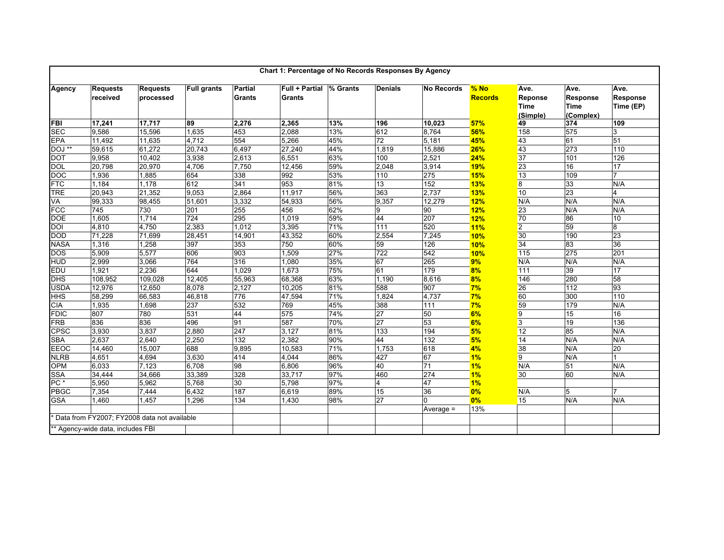| Chart 1: Percentage of No Records Responses By Agency |                                   |                              |                    |                          |                                        |          |                |                   |                        |                                            |                                       |                               |
|-------------------------------------------------------|-----------------------------------|------------------------------|--------------------|--------------------------|----------------------------------------|----------|----------------|-------------------|------------------------|--------------------------------------------|---------------------------------------|-------------------------------|
| Agency                                                | <b>Requests</b><br>received       | <b>Requests</b><br>processed | <b>Full grants</b> | Partial<br><b>Grants</b> | <b>Full + Partial</b><br><b>Grants</b> | % Grants | <b>Denials</b> | <b>No Records</b> | % No<br><b>Records</b> | Ave.<br>Reponse<br><b>Time</b><br>(Simple) | Ave.<br>Response<br>Time<br>(Complex) | Ave.<br>Response<br>Time (EP) |
| <b>FBI</b>                                            | 17,241                            | 17,717                       | 89                 | 2,276                    | 2,365                                  | 13%      | 196            | 10,023            | 57%                    | 49                                         | 374                                   | 109                           |
| <b>SEC</b>                                            | 9,586                             | 15,596                       | 1,635              | 453                      | 2,088                                  | 13%      | 612            | 8,764             | 56%                    | 158                                        | 575                                   | 3                             |
| <b>EPA</b>                                            | 11,492                            | 11,635                       | 4,712              | 554                      | 5,266                                  | 45%      | 72             | 5,181             | 45%                    | 43                                         | 61                                    | 51                            |
| DOJ **                                                | 59,615                            | 61,272                       | 20,743             | 6,497                    | 27,240                                 | 44%      | 1,819          | 15,886            | 26%                    | 43                                         | 273                                   | $\frac{110}{110}$             |
| <b>DOT</b>                                            | 9,958                             | 10,402                       | 3,938              | 2,613                    | 6,551                                  | 63%      | 100            | 2,521             | 24%                    | $\overline{37}$                            | 101                                   | 126                           |
| <b>DOL</b>                                            | 20,798                            | 20,970                       | 4,706              | 7,750                    | 12,456                                 | 59%      | 2,048          | 3,914             | <b>19%</b>             | 23                                         | 16                                    | 17                            |
| <b>DOC</b>                                            | 1,936                             | 1,885                        | 654                | 338                      | 992                                    | 53%      | 110            | 275               | <b>15%</b>             | $\overline{13}$                            | 109                                   |                               |
| <b>FTC</b>                                            | 1,184                             | 1,178                        | 612                | 341                      | 953                                    | 81%      | 13             | 152               | <b>13%</b>             | $\overline{8}$                             | 33                                    | N/A                           |
| <b>TRE</b>                                            | 20,943                            | 21,352                       | 9,053              | 2,864                    | 11,917                                 | 56%      | 363            | 2,737             | 13%                    | 10                                         | $\overline{23}$                       | 4                             |
| VA                                                    | 99,333                            | 98,455                       | 51,601             | 3,332                    | 54,933                                 | 56%      | 9,357          | 12,279            | 12%                    | N/A                                        | N/A                                   | N/A                           |
| <b>FCC</b>                                            | 745                               | 730                          | 201                | 255                      | 456                                    | 62%      | 9              | 90                | 12%                    | $\sqrt{23}$                                | N/A                                   | N/A                           |
| <b>DOE</b>                                            | 1,605                             | 1,714                        | 724                | 295                      | 1,019                                  | 59%      | 44             | 207               | 12%                    | $\overline{70}$                            | 86                                    | 10                            |
| <b>DOI</b>                                            | 4,810                             | 4,750                        | 2,383              | 1,012                    | 3,395                                  | 71%      | 111            | 520               | <b>11%</b>             | $\overline{2}$                             | 59                                    | 8                             |
| <b>DOD</b>                                            | 71,228                            | 71,699                       | 28,451             | 14,901                   | 43,352                                 | 60%      | 2,554          | 7,245             | <b>10%</b>             | 30                                         | 190                                   | 23                            |
| <b>NASA</b>                                           | 1,316                             | 1,258                        | 397                | 353                      | 750                                    | 60%      | 59             | 126               | 10%                    | $\overline{34}$                            | 83                                    | 36                            |
| <b>DOS</b>                                            | 5,909                             | 5,577                        | 606                | 903                      | 1,509                                  | 27%      | 722            | 542               | 10%                    | 115                                        | 275                                   | 201                           |
| <b>HUD</b>                                            | 2,999                             | 3,066                        | 764                | 316                      | 1,080                                  | 35%      | 67             | 265               | 9%                     | N/A                                        | N/A                                   | N/A                           |
| EDU                                                   | 1,921                             | 2,236                        | 644                | 1,029                    | 1,673                                  | 75%      | 61             | 179               | 8%                     | 111                                        | 39                                    | $\overline{17}$               |
| <b>DHS</b>                                            | 108,952                           | 109,028                      | 12,405             | 55,963                   | 68,368                                 | 63%      | 1,190          | 8,616             | 8%                     | 146                                        | 280                                   | 58                            |
| <b>USDA</b>                                           | 12,976                            | 12,650                       | 8,078              | 2,127                    | 10,205                                 | 81%      | 588            | 907               | 7%                     | $\overline{26}$                            | 112                                   | 93                            |
| <b>HHS</b>                                            | 58,299                            | 66,583                       | 46,818             | 776                      | 47,594                                 | 71%      | 1,824          | 4,737             | 7%                     | 60                                         | 300                                   | 110                           |
| <b>CIA</b>                                            | 1,935                             | 1,698                        | 237                | 532                      | 769                                    | 45%      | 388            | 111               | 7%                     | 59                                         | 179                                   | N/A                           |
| <b>FDIC</b>                                           | 807                               | 780                          | 531                | 44                       | 575                                    | 74%      | 27             | 50                | 6%                     | 9                                          | 15                                    | 16                            |
| FRB                                                   | 836                               | 836                          | 496                | 91                       | 587                                    | 70%      | 27             | 53                | 6%                     | $\overline{3}$                             | 19                                    | 136                           |
| <b>CPSC</b>                                           | 3,930                             | 3,837                        | 2,880              | 247                      | 3,127                                  | 81%      | 133            | 194               | 5%                     | $\overline{12}$                            | 85                                    | N/A                           |
| <b>SBA</b>                                            | 2,637                             | 2,640                        | 2,250              | 132                      | 2,382                                  | 90%      | 44             | 132               | 5%                     | $\overline{14}$                            | N/A                                   | N/A                           |
| <b>EEOC</b>                                           | 14,460                            | 15,007                       | 688                | 9,895                    | 10,583                                 | 71%      | 1,753          | 618               | 4%                     | 38                                         | N/A                                   | 20                            |
| <b>NLRB</b>                                           | 4,651                             | 4,694                        | 3,630              | 414                      | 4,044                                  | 86%      | 427            | 67                | 1%                     | $\overline{9}$                             | N/A                                   |                               |
| <b>OPM</b>                                            | 6,033                             | 7,123                        | 6,708              | 98                       | 6,806                                  | 96%      | 40             | 71                | 1%                     | N/A                                        | 51                                    | N/A                           |
| <b>SSA</b>                                            | 34,444                            | 34,666                       | 33,389             | 328                      | 33,717                                 | 97%      | 460            | 274               | 1%                     | 30                                         | 60                                    | N/A                           |
| PC <sup>*</sup>                                       | 5,950                             | 5,962                        | 5,768              | 30                       | 5,798                                  | 97%      | 4              | 47                | 1%                     |                                            |                                       |                               |
| PBGC                                                  | 7,354                             | 7,444                        | 6,432              | 187                      | 6,619                                  | 89%      | 15             | 36                | 0%                     | N/A                                        | 5                                     | $\overline{7}$                |
| <b>GSA</b>                                            | 1,460                             | .457                         | 1,296              | 134                      | 1,430                                  | 98%      | 27             | $\mathbf{0}$      | 0%                     | 15                                         | N/A                                   | N/A                           |
|                                                       |                                   |                              |                    |                          |                                        |          |                | Average =         | 13%                    |                                            |                                       |                               |
| Data from FY2007; FY2008 data not available           |                                   |                              |                    |                          |                                        |          |                |                   |                        |                                            |                                       |                               |
|                                                       | ** Agency-wide data, includes FBI |                              |                    |                          |                                        |          |                |                   |                        |                                            |                                       |                               |